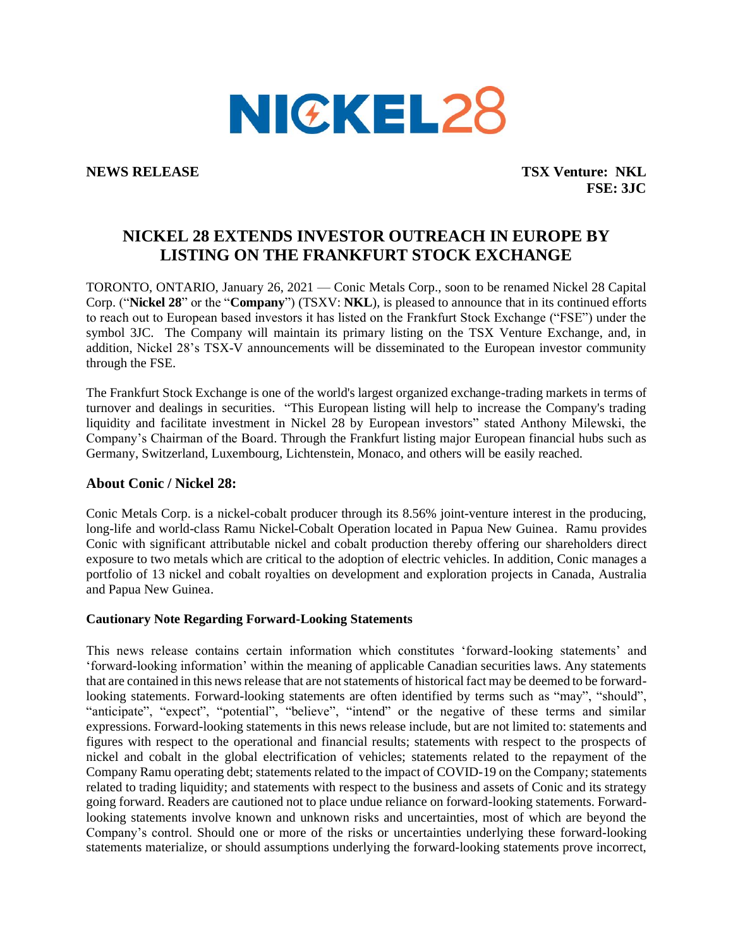

**NEWS RELEASE TSX Venture: NKL FSE: 3JC**

## **NICKEL 28 EXTENDS INVESTOR OUTREACH IN EUROPE BY LISTING ON THE FRANKFURT STOCK EXCHANGE**

TORONTO, ONTARIO, January 26, 2021 — Conic Metals Corp., soon to be renamed Nickel 28 Capital Corp. ("**Nickel 28**" or the "**Company**") (TSXV: **NKL**), is pleased to announce that in its continued efforts to reach out to European based investors it has listed on the Frankfurt Stock Exchange ("FSE") under the symbol 3JC. The Company will maintain its primary listing on the TSX Venture Exchange, and, in addition, Nickel 28's TSX-V announcements will be disseminated to the European investor community through the FSE.

The Frankfurt Stock Exchange is one of the world's largest organized exchange-trading markets in terms of turnover and dealings in securities. "This European listing will help to increase the Company's trading liquidity and facilitate investment in Nickel 28 by European investors" stated Anthony Milewski, the Company's Chairman of the Board. Through the Frankfurt listing major European financial hubs such as Germany, Switzerland, Luxembourg, Lichtenstein, Monaco, and others will be easily reached.

## **About Conic / Nickel 28:**

Conic Metals Corp. is a nickel-cobalt producer through its 8.56% joint-venture interest in the producing, long-life and world-class Ramu Nickel-Cobalt Operation located in Papua New Guinea. Ramu provides Conic with significant attributable nickel and cobalt production thereby offering our shareholders direct exposure to two metals which are critical to the adoption of electric vehicles. In addition, Conic manages a portfolio of 13 nickel and cobalt royalties on development and exploration projects in Canada, Australia and Papua New Guinea.

## **Cautionary Note Regarding Forward-Looking Statements**

This news release contains certain information which constitutes 'forward-looking statements' and 'forward-looking information' within the meaning of applicable Canadian securities laws. Any statements that are contained in this news release that are not statements of historical fact may be deemed to be forwardlooking statements. Forward-looking statements are often identified by terms such as "may", "should", "anticipate", "expect", "potential", "believe", "intend" or the negative of these terms and similar expressions. Forward-looking statements in this news release include, but are not limited to: statements and figures with respect to the operational and financial results; statements with respect to the prospects of nickel and cobalt in the global electrification of vehicles; statements related to the repayment of the Company Ramu operating debt; statements related to the impact of COVID-19 on the Company; statements related to trading liquidity; and statements with respect to the business and assets of Conic and its strategy going forward. Readers are cautioned not to place undue reliance on forward-looking statements. Forwardlooking statements involve known and unknown risks and uncertainties, most of which are beyond the Company's control. Should one or more of the risks or uncertainties underlying these forward-looking statements materialize, or should assumptions underlying the forward-looking statements prove incorrect,